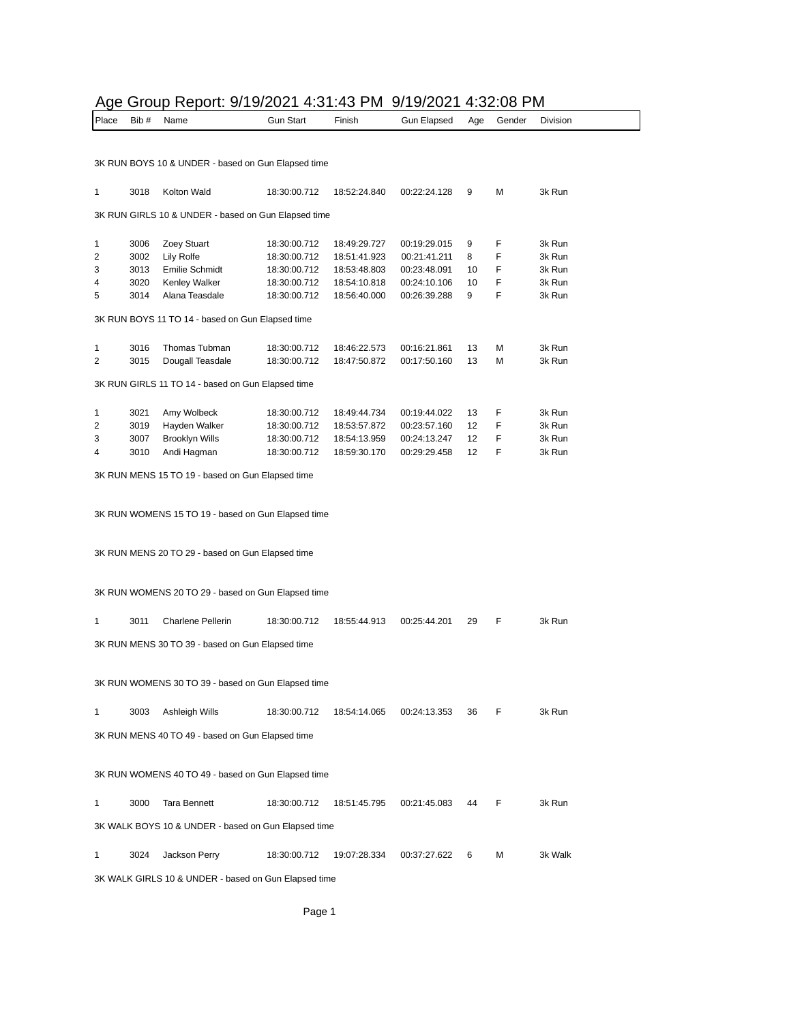## Age Group Report: 9/19/2021 4:31:43 PM 9/19/2021 4:32:08 PM

| ישעי י<br>Place | Bib #        | 00p TOPORT 07 TO/202 T T.O.T. TO T TWI<br>Name       | <b>Gun Start</b>             | Finish                       |                              |          | Gender | Division         |
|-----------------|--------------|------------------------------------------------------|------------------------------|------------------------------|------------------------------|----------|--------|------------------|
|                 |              |                                                      |                              |                              | Gun Elapsed                  | Age      |        |                  |
|                 |              |                                                      |                              |                              |                              |          |        |                  |
|                 |              | 3K RUN BOYS 10 & UNDER - based on Gun Elapsed time   |                              |                              |                              |          |        |                  |
|                 |              |                                                      |                              |                              |                              |          |        |                  |
| 1               | 3018         | Kolton Wald                                          | 18:30:00.712                 | 18:52:24.840                 | 00:22:24.128                 | 9        | М      | 3k Run           |
|                 |              |                                                      |                              |                              |                              |          |        |                  |
|                 |              | 3K RUN GIRLS 10 & UNDER - based on Gun Elapsed time  |                              |                              |                              |          |        |                  |
|                 |              |                                                      | 18:30:00.712                 |                              |                              |          | F      | 3k Run           |
| 1<br>2          | 3006<br>3002 | Zoey Stuart<br>Lily Rolfe                            | 18:30:00.712                 | 18:49:29.727<br>18:51:41.923 | 00:19:29.015<br>00:21:41.211 | 9<br>8   | F      | 3k Run           |
| 3               | 3013         | Emilie Schmidt                                       | 18:30:00.712                 | 18:53:48.803                 | 00:23:48.091                 | 10       | F      | 3k Run           |
| 4               | 3020         | Kenley Walker                                        | 18:30:00.712                 | 18:54:10.818                 | 00:24:10.106                 | 10       | F      | 3k Run           |
| 5               | 3014         | Alana Teasdale                                       | 18:30:00.712                 | 18:56:40.000                 | 00:26:39.288                 | 9        | F      | 3k Run           |
|                 |              |                                                      |                              |                              |                              |          |        |                  |
|                 |              | 3K RUN BOYS 11 TO 14 - based on Gun Elapsed time     |                              |                              |                              |          |        |                  |
| 1               | 3016         | Thomas Tubman                                        | 18:30:00.712                 | 18:46:22.573                 | 00:16:21.861                 | 13       | М      | 3k Run           |
| 2               | 3015         | Dougall Teasdale                                     | 18:30:00.712                 | 18:47:50.872                 | 00:17:50.160                 | 13       | М      | 3k Run           |
|                 |              |                                                      |                              |                              |                              |          |        |                  |
|                 |              | 3K RUN GIRLS 11 TO 14 - based on Gun Elapsed time    |                              |                              |                              |          |        |                  |
|                 |              |                                                      |                              |                              |                              |          |        |                  |
| 1               | 3021         | Amy Wolbeck                                          | 18:30:00.712                 | 18:49:44.734                 | 00:19:44.022                 | 13       | F      | 3k Run           |
| 2<br>3          | 3019<br>3007 | Hayden Walker<br><b>Brooklyn Wills</b>               | 18:30:00.712<br>18:30:00.712 | 18:53:57.872<br>18:54:13.959 | 00:23:57.160<br>00:24:13.247 | 12<br>12 | F<br>F | 3k Run<br>3k Run |
| 4               | 3010         | Andi Hagman                                          | 18:30:00.712                 | 18:59:30.170                 | 00:29:29.458                 | 12       | F      | 3k Run           |
|                 |              |                                                      |                              |                              |                              |          |        |                  |
|                 |              | 3K RUN MENS 15 TO 19 - based on Gun Elapsed time     |                              |                              |                              |          |        |                  |
|                 |              |                                                      |                              |                              |                              |          |        |                  |
|                 |              | 3K RUN WOMENS 15 TO 19 - based on Gun Elapsed time   |                              |                              |                              |          |        |                  |
|                 |              |                                                      |                              |                              |                              |          |        |                  |
|                 |              |                                                      |                              |                              |                              |          |        |                  |
|                 |              | 3K RUN MENS 20 TO 29 - based on Gun Elapsed time     |                              |                              |                              |          |        |                  |
|                 |              |                                                      |                              |                              |                              |          |        |                  |
|                 |              | 3K RUN WOMENS 20 TO 29 - based on Gun Elapsed time   |                              |                              |                              |          |        |                  |
|                 |              |                                                      |                              |                              |                              |          |        |                  |
| 1               | 3011         | <b>Charlene Pellerin</b>                             | 18:30:00.712                 | 18:55:44.913                 | 00:25:44.201                 | 29       | F      | 3k Run           |
|                 |              |                                                      |                              |                              |                              |          |        |                  |
|                 |              | 3K RUN MENS 30 TO 39 - based on Gun Elapsed time     |                              |                              |                              |          |        |                  |
|                 |              |                                                      |                              |                              |                              |          |        |                  |
|                 |              | 3K RUN WOMENS 30 TO 39 - based on Gun Elapsed time   |                              |                              |                              |          |        |                  |
|                 |              |                                                      |                              |                              |                              |          |        |                  |
| 1               | 3003         | Ashleigh Wills                                       | 18:30:00.712                 | 18:54:14.065                 | 00:24:13.353                 | 36       | F      | 3k Run           |
|                 |              |                                                      |                              |                              |                              |          |        |                  |
|                 |              | 3K RUN MENS 40 TO 49 - based on Gun Elapsed time     |                              |                              |                              |          |        |                  |
|                 |              |                                                      |                              |                              |                              |          |        |                  |
|                 |              | 3K RUN WOMENS 40 TO 49 - based on Gun Elapsed time   |                              |                              |                              |          |        |                  |
|                 |              |                                                      |                              |                              |                              |          |        |                  |
| 1               | 3000         | <b>Tara Bennett</b>                                  | 18:30:00.712                 | 18:51:45.795                 | 00:21:45.083                 | 44       | F      | 3k Run           |
|                 |              |                                                      |                              |                              |                              |          |        |                  |
|                 |              | 3K WALK BOYS 10 & UNDER - based on Gun Elapsed time  |                              |                              |                              |          |        |                  |
| 1               | 3024         | Jackson Perry                                        | 18:30:00.712                 | 19:07:28.334                 | 00:37:27.622                 | 6        | М      | 3k Walk          |
|                 |              |                                                      |                              |                              |                              |          |        |                  |
|                 |              | 3K WALK GIRLS 10 & UNDER - based on Gun Elapsed time |                              |                              |                              |          |        |                  |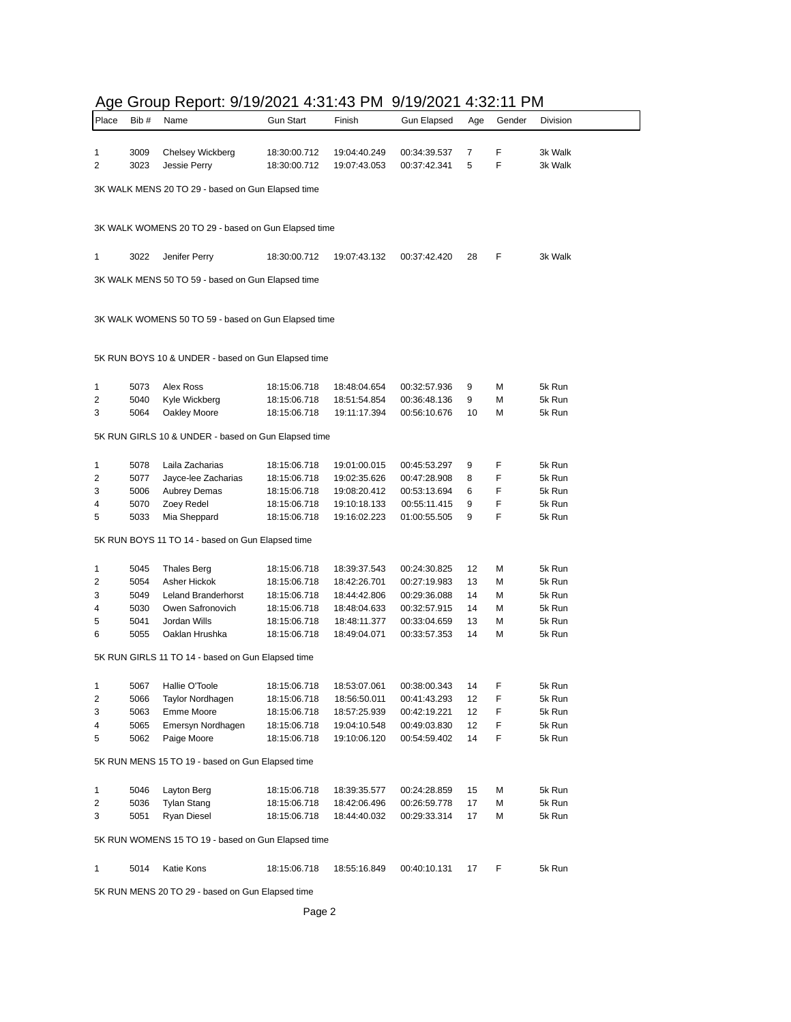|              |       | Age Group Report. 9/19/2021 4.31.43 Fivil           |                  |              | 37 1 37 2 U Z L 4. J Z . I L F IVI |     |        |          |
|--------------|-------|-----------------------------------------------------|------------------|--------------|------------------------------------|-----|--------|----------|
| Place        | Bib # | Name                                                | <b>Gun Start</b> | Finish       | <b>Gun Elapsed</b>                 | Age | Gender | Division |
|              |       |                                                     |                  |              |                                    |     |        |          |
| 1            | 3009  | Chelsey Wickberg                                    | 18:30:00.712     | 19:04:40.249 | 00:34:39.537                       | 7   | F      | 3k Walk  |
| 2            | 3023  | Jessie Perry                                        | 18:30:00.712     | 19:07:43.053 | 00:37:42.341                       | 5   | F      | 3k Walk  |
|              |       |                                                     |                  |              |                                    |     |        |          |
|              |       | 3K WALK MENS 20 TO 29 - based on Gun Elapsed time   |                  |              |                                    |     |        |          |
|              |       |                                                     |                  |              |                                    |     |        |          |
|              |       | 3K WALK WOMENS 20 TO 29 - based on Gun Elapsed time |                  |              |                                    |     |        |          |
|              |       |                                                     |                  |              |                                    |     |        |          |
| 1            | 3022  | Jenifer Perry                                       | 18:30:00.712     | 19:07:43.132 | 00:37:42.420                       | 28  | F      | 3k Walk  |
|              |       |                                                     |                  |              |                                    |     |        |          |
|              |       | 3K WALK MENS 50 TO 59 - based on Gun Elapsed time   |                  |              |                                    |     |        |          |
|              |       |                                                     |                  |              |                                    |     |        |          |
|              |       |                                                     |                  |              |                                    |     |        |          |
|              |       | 3K WALK WOMENS 50 TO 59 - based on Gun Elapsed time |                  |              |                                    |     |        |          |
|              |       |                                                     |                  |              |                                    |     |        |          |
|              |       |                                                     |                  |              |                                    |     |        |          |
|              |       | 5K RUN BOYS 10 & UNDER - based on Gun Elapsed time  |                  |              |                                    |     |        |          |
|              |       |                                                     |                  |              |                                    |     |        |          |
| 1            | 5073  | Alex Ross                                           | 18:15:06.718     | 18:48:04.654 | 00:32:57.936                       | 9   | М      | 5k Run   |
| 2            | 5040  | Kyle Wickberg                                       | 18:15:06.718     | 18:51:54.854 | 00:36:48.136                       | 9   | M      | 5k Run   |
| 3            | 5064  | Oakley Moore                                        | 18:15:06.718     | 19:11:17.394 | 00:56:10.676                       | 10  | М      | 5k Run   |
|              |       | 5K RUN GIRLS 10 & UNDER - based on Gun Elapsed time |                  |              |                                    |     |        |          |
|              |       |                                                     |                  |              |                                    |     |        |          |
| 1            | 5078  | Laila Zacharias                                     | 18:15:06.718     | 19:01:00.015 |                                    | 9   | F      | 5k Run   |
| 2            | 5077  | Jayce-lee Zacharias                                 | 18:15:06.718     | 19:02:35.626 | 00:45:53.297<br>00:47:28.908       | 8   | F      | 5k Run   |
| 3            | 5006  | <b>Aubrey Demas</b>                                 | 18:15:06.718     | 19:08:20.412 | 00:53:13.694                       | 6   | F      | 5k Run   |
|              |       |                                                     |                  |              |                                    |     | F      |          |
| 4            | 5070  | Zoey Redel                                          | 18:15:06.718     | 19:10:18.133 | 00:55:11.415                       | 9   |        | 5k Run   |
| 5            | 5033  | Mia Sheppard                                        | 18:15:06.718     | 19:16:02.223 | 01:00:55.505                       | 9   | F      | 5k Run   |
|              |       | 5K RUN BOYS 11 TO 14 - based on Gun Elapsed time    |                  |              |                                    |     |        |          |
|              |       |                                                     |                  |              |                                    |     |        |          |
| 1            | 5045  | <b>Thales Berg</b>                                  | 18:15:06.718     | 18:39:37.543 | 00:24:30.825                       | 12  | М      | 5k Run   |
| 2            | 5054  | Asher Hickok                                        | 18:15:06.718     | 18:42:26.701 | 00:27:19.983                       | 13  | М      | 5k Run   |
| 3            | 5049  | Leland Branderhorst                                 | 18:15:06.718     | 18:44:42.806 | 00:29:36.088                       | 14  | М      | 5k Run   |
| 4            | 5030  | Owen Safronovich                                    | 18:15:06.718     | 18:48:04.633 | 00:32:57.915                       | 14  | М      | 5k Run   |
| 5            | 5041  | Jordan Wills                                        | 18:15:06.718     | 18:48:11.377 | 00:33:04.659                       | 13  | М      | 5k Run   |
| 6            | 5055  | Oaklan Hrushka                                      | 18:15:06.718     | 18:49:04.071 | 00:33:57.353                       | 14  | м      | 5k Run   |
|              |       |                                                     |                  |              |                                    |     |        |          |
|              |       | 5K RUN GIRLS 11 TO 14 - based on Gun Elapsed time   |                  |              |                                    |     |        |          |
|              |       |                                                     |                  |              |                                    |     |        |          |
| $\mathbf{1}$ | 5067  | Hallie O'Toole                                      | 18:15:06.718     | 18:53:07.061 | 00:38:00.343                       | 14  | F      | 5k Run   |
| 2            | 5066  | Taylor Nordhagen                                    | 18:15:06.718     | 18:56:50.011 | 00:41:43.293                       | 12  | F      | 5k Run   |
| 3            | 5063  | Emme Moore                                          | 18:15:06.718     | 18:57:25.939 | 00:42:19.221                       | 12  | F      | 5k Run   |
| 4            | 5065  | Emersyn Nordhagen                                   | 18:15:06.718     | 19:04:10.548 | 00:49:03.830                       | 12  | F      | 5k Run   |
| 5            | 5062  | Paige Moore                                         | 18:15:06.718     | 19:10:06.120 | 00:54:59.402                       | 14  | F      | 5k Run   |
|              |       |                                                     |                  |              |                                    |     |        |          |
|              |       | 5K RUN MENS 15 TO 19 - based on Gun Elapsed time    |                  |              |                                    |     |        |          |
|              |       |                                                     |                  |              |                                    |     |        |          |
| 1            | 5046  | Layton Berg                                         | 18:15:06.718     | 18:39:35.577 | 00:24:28.859                       | 15  | М      | 5k Run   |
| 2            | 5036  | Tylan Stang                                         | 18:15:06.718     | 18:42:06.496 | 00:26:59.778                       | 17  | M      | 5k Run   |
| 3            | 5051  | Ryan Diesel                                         | 18:15:06.718     | 18:44:40.032 | 00:29:33.314                       | 17  | М      | 5k Run   |
|              |       |                                                     |                  |              |                                    |     |        |          |
|              |       | 5K RUN WOMENS 15 TO 19 - based on Gun Elapsed time  |                  |              |                                    |     |        |          |
|              |       |                                                     |                  |              |                                    |     |        |          |
| 1            | 5014  | Katie Kons                                          | 18:15:06.718     | 18:55:16.849 | 00:40:10.131                       | 17  | F      | 5k Run   |
|              |       |                                                     |                  |              |                                    |     |        |          |

### Age Group Report: 9/19/2021 4:31:43 PM 9/19/2021 4:32:11 PM

5K RUN MENS 20 TO 29 - based on Gun Elapsed time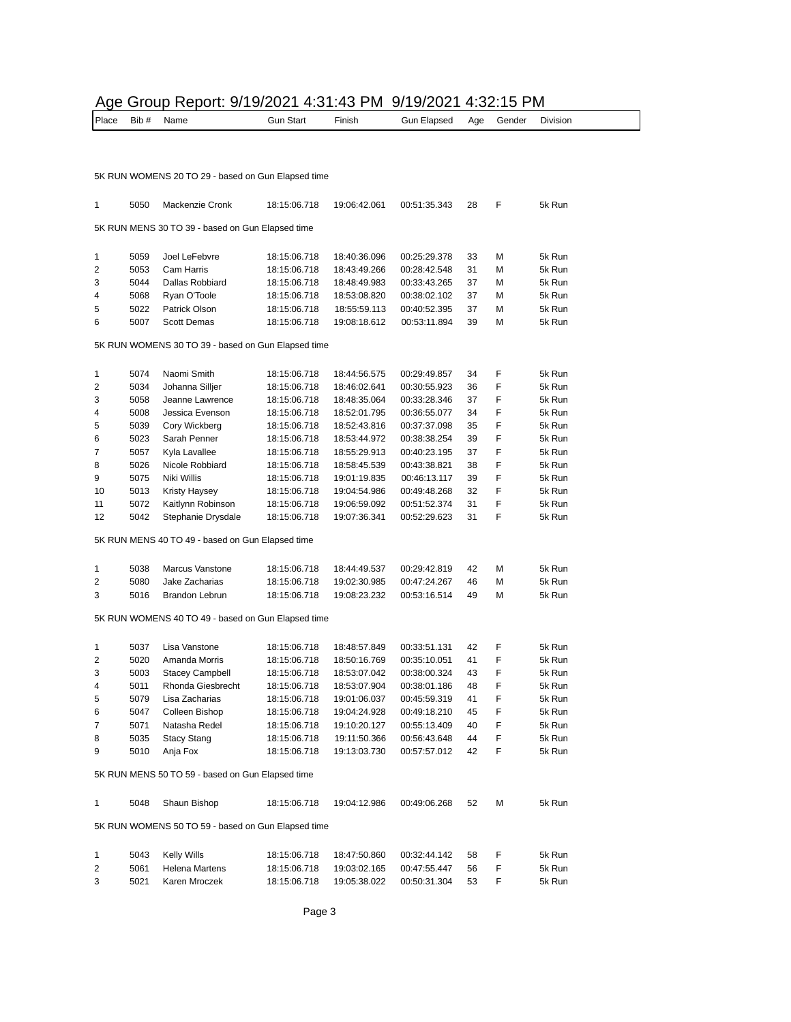#### Age Group Report: 9/19/2021 4:31:43 PM 9/19/2021 4:32:15 PM

| Place        | Bib # | Name                                               | <b>Gun Start</b> | Finish       | <b>Gun Elapsed</b> | Age | Gender | Division |
|--------------|-------|----------------------------------------------------|------------------|--------------|--------------------|-----|--------|----------|
|              |       |                                                    |                  |              |                    |     |        |          |
|              |       |                                                    |                  |              |                    |     |        |          |
|              |       | 5K RUN WOMENS 20 TO 29 - based on Gun Elapsed time |                  |              |                    |     |        |          |
| $\mathbf{1}$ | 5050  | Mackenzie Cronk                                    | 18:15:06.718     | 19:06:42.061 | 00:51:35.343       | 28  | F      | 5k Run   |
|              |       | 5K RUN MENS 30 TO 39 - based on Gun Elapsed time   |                  |              |                    |     |        |          |
| 1            | 5059  | Joel LeFebvre                                      | 18:15:06.718     | 18:40:36.096 | 00:25:29.378       | 33  | М      | 5k Run   |
| 2            | 5053  | Cam Harris                                         | 18:15:06.718     | 18:43:49.266 | 00:28:42.548       | 31  | М      | 5k Run   |
| 3            | 5044  | Dallas Robbiard                                    | 18:15:06.718     | 18:48:49.983 | 00:33:43.265       | 37  | M      | 5k Run   |
| 4            | 5068  | Ryan O'Toole                                       | 18:15:06.718     | 18:53:08.820 | 00:38:02.102       | 37  | М      | 5k Run   |
| 5            | 5022  | Patrick Olson                                      | 18:15:06.718     | 18:55:59.113 | 00:40:52.395       | 37  | M      | 5k Run   |
| 6            | 5007  | <b>Scott Demas</b>                                 | 18:15:06.718     | 19:08:18.612 | 00:53:11.894       | 39  | М      | 5k Run   |
|              |       | 5K RUN WOMENS 30 TO 39 - based on Gun Elapsed time |                  |              |                    |     |        |          |
| 1            | 5074  | Naomi Smith                                        | 18:15:06.718     | 18:44:56.575 | 00:29:49.857       | 34  | F      | 5k Run   |
| 2            | 5034  | Johanna Silljer                                    | 18:15:06.718     | 18:46:02.641 | 00:30:55.923       | 36  | F      | 5k Run   |
| 3            | 5058  | Jeanne Lawrence                                    | 18:15:06.718     | 18:48:35.064 | 00:33:28.346       | 37  | F      | 5k Run   |
| 4            | 5008  | Jessica Evenson                                    | 18:15:06.718     | 18:52:01.795 | 00:36:55.077       | 34  | F      | 5k Run   |
| 5            | 5039  | Cory Wickberg                                      | 18:15:06.718     | 18:52:43.816 | 00:37:37.098       | 35  | F      | 5k Run   |
| 6            | 5023  | Sarah Penner                                       | 18:15:06.718     | 18:53:44.972 | 00:38:38.254       | 39  | F      | 5k Run   |
| 7            | 5057  | Kyla Lavallee                                      | 18:15:06.718     | 18:55:29.913 | 00:40:23.195       | 37  | F      | 5k Run   |
| 8            | 5026  | Nicole Robbiard                                    | 18:15:06.718     | 18:58:45.539 | 00:43:38.821       | 38  | F      | 5k Run   |
| 9            | 5075  | Niki Willis                                        | 18:15:06.718     | 19:01:19.835 | 00:46:13.117       | 39  | F      | 5k Run   |
| 10           | 5013  | Kristy Haysey                                      | 18:15:06.718     | 19:04:54.986 | 00:49:48.268       | 32  | F      | 5k Run   |
| 11           | 5072  | Kaitlynn Robinson                                  | 18:15:06.718     | 19:06:59.092 | 00:51:52.374       | 31  | F      | 5k Run   |
| 12           | 5042  | Stephanie Drysdale                                 | 18:15:06.718     | 19:07:36.341 | 00:52:29.623       | 31  | F      | 5k Run   |
|              |       |                                                    |                  |              |                    |     |        |          |
|              |       | 5K RUN MENS 40 TO 49 - based on Gun Elapsed time   |                  |              |                    |     |        |          |
| 1            | 5038  | Marcus Vanstone                                    | 18:15:06.718     | 18:44:49.537 | 00:29:42.819       | 42  | М      | 5k Run   |
| 2            | 5080  | Jake Zacharias                                     | 18:15:06.718     | 19:02:30.985 | 00:47:24.267       | 46  | М      | 5k Run   |
| 3            | 5016  | Brandon Lebrun                                     | 18:15:06.718     | 19:08:23.232 | 00:53:16.514       | 49  | М      | 5k Run   |
|              |       | 5K RUN WOMENS 40 TO 49 - based on Gun Elapsed time |                  |              |                    |     |        |          |
| 1            | 5037  | Lisa Vanstone                                      | 18:15:06.718     | 18:48:57.849 | 00:33:51.131       | 42  | F      | 5k Run   |
| 2            | 5020  | Amanda Morris                                      | 18:15:06.718     | 18:50:16.769 | 00:35:10.051       | 41  | F      | 5k Run   |
| 3            | 5003  | <b>Stacey Campbell</b>                             | 18:15:06.718     | 18:53:07.042 | 00:38:00.324       | 43  | F      | 5k Run   |
| 4            | 5011  | Rhonda Giesbrecht                                  | 18:15:06.718     | 18:53:07.904 | 00:38:01.186       | 48  | F      | 5k Run   |
| 5            | 5079  | Lisa Zacharias                                     | 18:15:06.718     | 19:01:06.037 | 00:45:59.319       | 41  | F      | 5k Run   |
| 6            | 5047  | Colleen Bishop                                     | 18:15:06.718     | 19:04:24.928 | 00:49:18.210       | 45  | F      | 5k Run   |
| 7            | 5071  | Natasha Redel                                      | 18:15:06.718     | 19:10:20.127 | 00:55:13.409       | 40  | F      | 5k Run   |
| 8            | 5035  | <b>Stacy Stang</b>                                 | 18:15:06.718     | 19:11:50.366 | 00:56:43.648       | 44  | F      | 5k Run   |
| 9            | 5010  | Anja Fox                                           | 18:15:06.718     | 19:13:03.730 | 00:57:57.012       | 42  | F      | 5k Run   |
|              |       | 5K RUN MENS 50 TO 59 - based on Gun Elapsed time   |                  |              |                    |     |        |          |
| 1            | 5048  | Shaun Bishop                                       | 18:15:06.718     | 19:04:12.986 | 00:49:06.268       | 52  | М      | 5k Run   |
|              |       | 5K RUN WOMENS 50 TO 59 - based on Gun Elapsed time |                  |              |                    |     |        |          |
|              |       |                                                    |                  |              |                    |     |        |          |
| $\mathbf{1}$ | 5043  | Kelly Wills                                        | 18:15:06.718     | 18:47:50.860 | 00:32:44.142       | 58  | F      | 5k Run   |

 5061 Helena Martens 18:15:06.718 19:03:02.165 00:47:55.447 56 F 5k Run 5021 Karen Mroczek 18:15:06.718 19:05:38.022 00:50:31.304 53 F 5k Run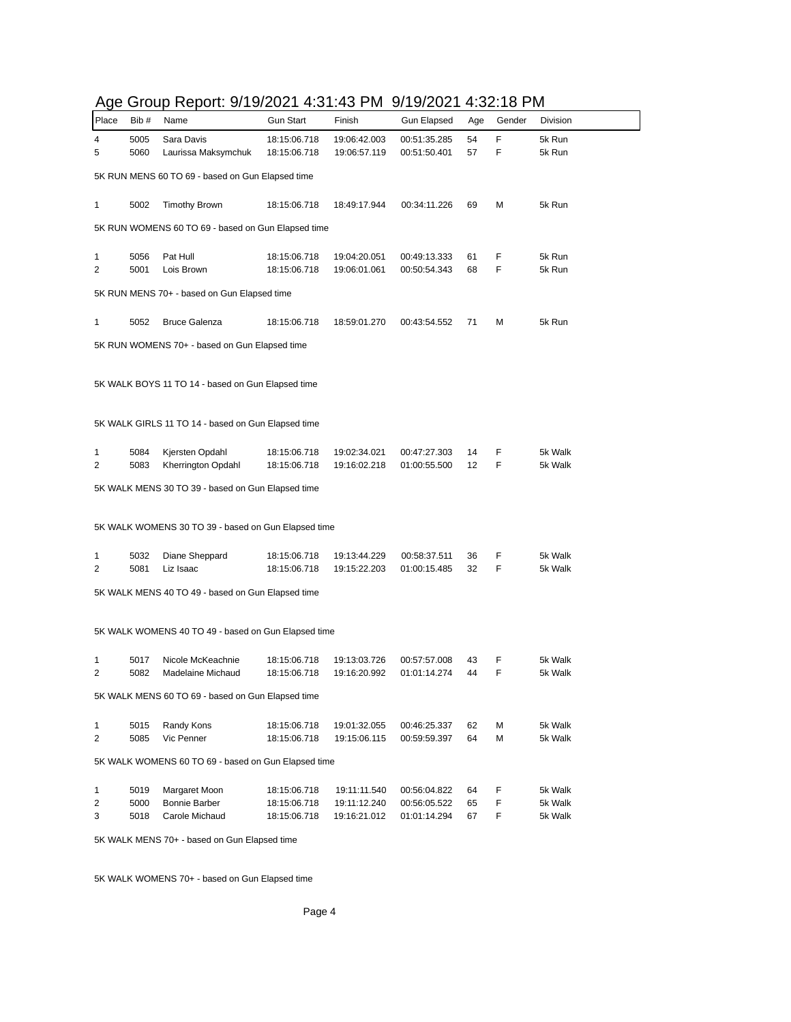|        |              | Age Group Report: 9/19/2021 4:31:43 PM 9/19/2021 4:32:18 PM |                              |                              |                              |          |        |                    |
|--------|--------------|-------------------------------------------------------------|------------------------------|------------------------------|------------------------------|----------|--------|--------------------|
| Place  | Bib #        | Name                                                        | <b>Gun Start</b>             | Finish                       | <b>Gun Elapsed</b>           | Age      | Gender | Division           |
| 4<br>5 | 5005<br>5060 | Sara Davis<br>Laurissa Maksymchuk                           | 18:15:06.718<br>18:15:06.718 | 19:06:42.003<br>19:06:57.119 | 00:51:35.285<br>00:51:50.401 | 54<br>57 | F<br>F | 5k Run<br>5k Run   |
|        |              | 5K RUN MENS 60 TO 69 - based on Gun Elapsed time            |                              |                              |                              |          |        |                    |
| 1      | 5002         | <b>Timothy Brown</b>                                        | 18:15:06.718                 | 18:49:17.944                 | 00:34:11.226                 | 69       | М      | 5k Run             |
|        |              | 5K RUN WOMENS 60 TO 69 - based on Gun Elapsed time          |                              |                              |                              |          |        |                    |
| 1<br>2 | 5056<br>5001 | Pat Hull<br>Lois Brown                                      | 18:15:06.718<br>18:15:06.718 | 19:04:20.051<br>19:06:01.061 | 00:49:13.333<br>00:50:54.343 | 61<br>68 | F<br>F | 5k Run<br>5k Run   |
|        |              | 5K RUN MENS 70+ - based on Gun Elapsed time                 |                              |                              |                              |          |        |                    |
| 1      | 5052         | <b>Bruce Galenza</b>                                        | 18:15:06.718                 | 18:59:01.270                 | 00:43:54.552                 | 71       | М      | 5k Run             |
|        |              | 5K RUN WOMENS 70+ - based on Gun Elapsed time               |                              |                              |                              |          |        |                    |
|        |              | 5K WALK BOYS 11 TO 14 - based on Gun Elapsed time           |                              |                              |                              |          |        |                    |
|        |              | 5K WALK GIRLS 11 TO 14 - based on Gun Elapsed time          |                              |                              |                              |          |        |                    |
| 1<br>2 | 5084<br>5083 | Kjersten Opdahl<br>Kherrington Opdahl                       | 18:15:06.718<br>18:15:06.718 | 19:02:34.021<br>19:16:02.218 | 00:47:27.303<br>01:00:55.500 | 14<br>12 | F<br>F | 5k Walk<br>5k Walk |
|        |              | 5K WALK MENS 30 TO 39 - based on Gun Elapsed time           |                              |                              |                              |          |        |                    |
|        |              | 5K WALK WOMENS 30 TO 39 - based on Gun Elapsed time         |                              |                              |                              |          |        |                    |
| 1<br>2 | 5032<br>5081 | Diane Sheppard<br>Liz Isaac                                 | 18:15:06.718<br>18:15:06.718 | 19:13:44.229<br>19:15:22.203 | 00:58:37.511<br>01:00:15.485 | 36<br>32 | F<br>F | 5k Walk<br>5k Walk |
|        |              | 5K WALK MENS 40 TO 49 - based on Gun Elapsed time           |                              |                              |                              |          |        |                    |
|        |              |                                                             |                              |                              |                              |          |        |                    |
|        |              | 5K WALK WOMENS 40 TO 49 - based on Gun Elapsed time         |                              |                              |                              |          |        |                    |
| 1<br>2 | 5017<br>5082 | Nicole McKeachnie<br>Madelaine Michaud                      | 18:15:06.718<br>18:15:06.718 | 19:13:03.726<br>19:16:20.992 | 00:57:57.008<br>01:01:14.274 | 43<br>44 | F<br>F | 5k Walk<br>5k Walk |
|        |              | 5K WALK MENS 60 TO 69 - based on Gun Elapsed time           |                              |                              |                              |          |        |                    |
| 1<br>2 | 5015<br>5085 | Randy Kons<br>Vic Penner                                    | 18:15:06.718<br>18:15:06.718 | 19:01:32.055<br>19:15:06.115 | 00:46:25.337<br>00:59:59.397 | 62<br>64 | М<br>М | 5k Walk<br>5k Walk |
|        |              | 5K WALK WOMENS 60 TO 69 - based on Gun Elapsed time         |                              |                              |                              |          |        |                    |
|        |              |                                                             |                              |                              |                              |          |        |                    |
| 1<br>2 | 5019<br>5000 | Margaret Moon<br>Bonnie Barber                              | 18:15:06.718<br>18:15:06.718 | 19:11:11.540<br>19:11:12.240 | 00:56:04.822<br>00:56:05.522 | 64<br>65 | F<br>F | 5k Walk<br>5k Walk |
| 3      | 5018         | Carole Michaud                                              | 18:15:06.718                 | 19:16:21.012                 | 01:01:14.294                 | 67       | F      | 5k Walk            |
|        |              | 5K WALK MENS 70+ - based on Gun Elapsed time                |                              |                              |                              |          |        |                    |

5K WALK WOMENS 70+ - based on Gun Elapsed time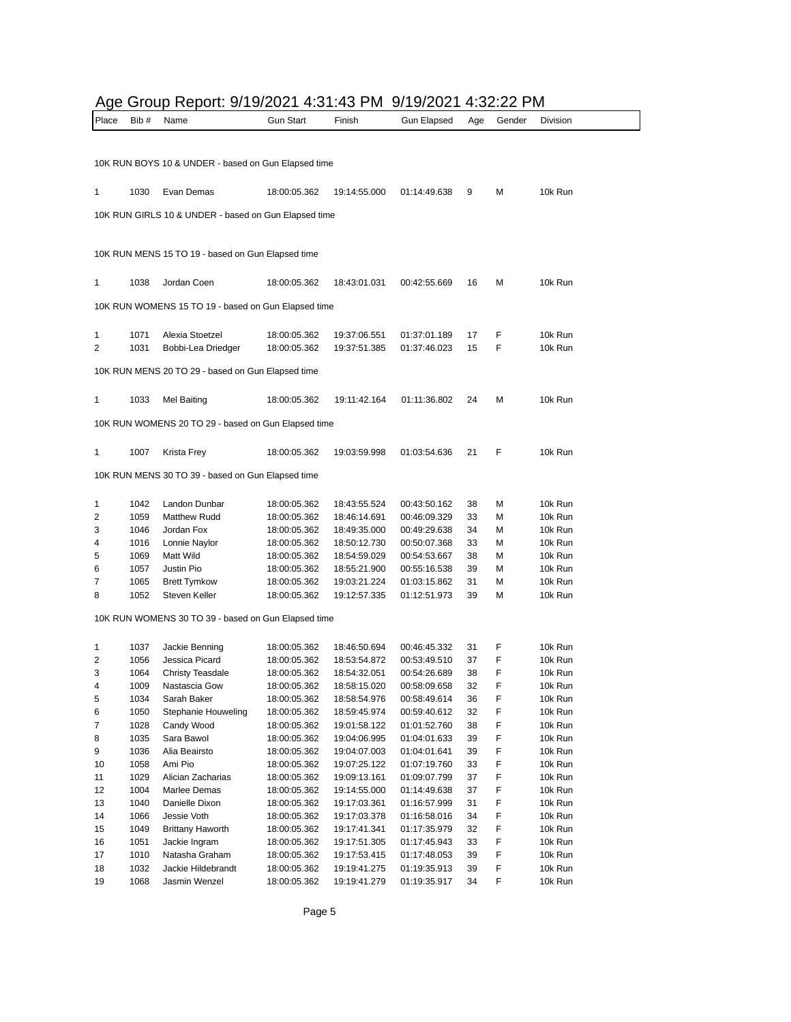# Age Group Report: 9/19/2021 4:31:43 PM 9/19/2021 4:32:22 PM

| Place    | Bib #        | Name                                                 | <b>Gun Start</b>             | Finish                       | <b>Gun Elapsed</b>           | Age      | Gender | Division           |
|----------|--------------|------------------------------------------------------|------------------------------|------------------------------|------------------------------|----------|--------|--------------------|
|          |              |                                                      |                              |                              |                              |          |        |                    |
|          |              |                                                      |                              |                              |                              |          |        |                    |
|          |              | 10K RUN BOYS 10 & UNDER - based on Gun Elapsed time  |                              |                              |                              |          |        |                    |
| 1        | 1030         | Evan Demas                                           | 18:00:05.362                 | 19:14:55.000                 | 01:14:49.638                 | 9        | М      | 10k Run            |
|          |              |                                                      |                              |                              |                              |          |        |                    |
|          |              | 10K RUN GIRLS 10 & UNDER - based on Gun Elapsed time |                              |                              |                              |          |        |                    |
|          |              |                                                      |                              |                              |                              |          |        |                    |
|          |              | 10K RUN MENS 15 TO 19 - based on Gun Elapsed time    |                              |                              |                              |          |        |                    |
|          |              |                                                      |                              |                              |                              |          |        |                    |
| 1        | 1038         | Jordan Coen                                          | 18:00:05.362                 | 18:43:01.031                 | 00:42:55.669                 | 16       | М      | 10k Run            |
|          |              |                                                      |                              |                              |                              |          |        |                    |
|          |              | 10K RUN WOMENS 15 TO 19 - based on Gun Elapsed time  |                              |                              |                              |          |        |                    |
|          |              |                                                      |                              |                              |                              |          |        |                    |
| 1<br>2   | 1071<br>1031 | Alexia Stoetzel                                      | 18:00:05.362<br>18:00:05.362 | 19:37:06.551<br>19:37:51.385 | 01:37:01.189<br>01:37:46.023 | 17<br>15 | F<br>F | 10k Run<br>10k Run |
|          |              | Bobbi-Lea Driedger                                   |                              |                              |                              |          |        |                    |
|          |              | 10K RUN MENS 20 TO 29 - based on Gun Elapsed time    |                              |                              |                              |          |        |                    |
|          |              |                                                      |                              |                              |                              |          |        |                    |
| 1        | 1033         | Mel Baiting                                          | 18:00:05.362                 | 19:11:42.164                 | 01:11:36.802                 | 24       | М      | 10k Run            |
|          |              | 10K RUN WOMENS 20 TO 29 - based on Gun Elapsed time  |                              |                              |                              |          |        |                    |
|          |              |                                                      |                              |                              |                              |          |        |                    |
| 1        | 1007         | Krista Frey                                          | 18:00:05.362                 | 19:03:59.998                 | 01:03:54.636                 | 21       | F      | 10k Run            |
|          |              |                                                      |                              |                              |                              |          |        |                    |
|          |              | 10K RUN MENS 30 TO 39 - based on Gun Elapsed time    |                              |                              |                              |          |        |                    |
|          |              |                                                      |                              |                              |                              |          |        |                    |
| 1<br>2   | 1042<br>1059 | Landon Dunbar<br><b>Matthew Rudd</b>                 | 18:00:05.362<br>18:00:05.362 | 18:43:55.524<br>18:46:14.691 | 00:43:50.162<br>00:46:09.329 | 38<br>33 | М<br>М | 10k Run<br>10k Run |
| 3        | 1046         | Jordan Fox                                           | 18:00:05.362                 | 18:49:35.000                 | 00:49:29.638                 | 34       | М      | 10k Run            |
| 4        | 1016         | Lonnie Naylor                                        | 18:00:05.362                 | 18:50:12.730                 | 00:50:07.368                 | 33       | М      | 10k Run            |
| 5        | 1069         | Matt Wild                                            | 18:00:05.362                 | 18:54:59.029                 | 00:54:53.667                 | 38       | м      | 10k Run            |
| 6        | 1057         | Justin Pio                                           | 18:00:05.362                 | 18:55:21.900                 | 00:55:16.538                 | 39       | м      | 10k Run            |
| 7        | 1065         | <b>Brett Tymkow</b>                                  | 18:00:05.362                 | 19:03:21.224                 | 01:03:15.862                 | 31       | М      | 10k Run            |
| 8        | 1052         | Steven Keller                                        | 18:00:05.362                 | 19:12:57.335                 | 01:12:51.973                 | 39       | М      | 10k Run            |
|          |              |                                                      |                              |                              |                              |          |        |                    |
|          |              | 10K RUN WOMENS 30 TO 39 - based on Gun Elapsed time  |                              |                              |                              |          |        |                    |
|          |              |                                                      |                              |                              |                              |          |        |                    |
| 1<br>2   | 1037         | Jackie Benning<br>Jessica Picard                     | 18:00:05.362                 | 18:46:50.694                 | 00:46:45.332                 | 31<br>37 | F<br>F | 10k Run            |
| 3        | 1056<br>1064 | <b>Christy Teasdale</b>                              | 18:00:05.362<br>18:00:05.362 | 18:53:54.872<br>18:54:32.051 | 00:53:49.510<br>00:54:26.689 | 38       | F      | 10k Run<br>10k Run |
| 4        | 1009         | Nastascia Gow                                        | 18:00:05.362                 | 18:58:15.020                 | 00:58:09.658                 | 32       | F      | 10k Run            |
| 5        | 1034         | Sarah Baker                                          | 18:00:05.362                 | 18:58:54.976                 | 00:58:49.614                 | 36       | F      | 10k Run            |
| 6        | 1050         | Stephanie Houweling                                  | 18:00:05.362                 | 18:59:45.974                 | 00:59:40.612                 | 32       | F      | 10k Run            |
| 7        | 1028         | Candy Wood                                           | 18:00:05.362                 | 19:01:58.122                 | 01:01:52.760                 | 38       | F      | 10k Run            |
| 8        | 1035         | Sara Bawol                                           | 18:00:05.362                 | 19:04:06.995                 | 01:04:01.633                 | 39       | F      | 10k Run            |
| 9        | 1036         | Alia Beairsto                                        | 18:00:05.362                 | 19:04:07.003                 | 01:04:01.641                 | 39       | F      | 10k Run            |
| 10       | 1058         | Ami Pio                                              | 18:00:05.362                 | 19:07:25.122                 | 01:07:19.760                 | 33       | F      | 10k Run            |
| 11       | 1029         | Alician Zacharias                                    | 18:00:05.362                 | 19:09:13.161                 | 01:09:07.799                 | 37       | F      | 10k Run            |
| 12       | 1004         | Marlee Demas                                         | 18:00:05.362                 | 19:14:55.000                 | 01:14:49.638                 | 37       | F      | 10k Run            |
| 13       | 1040         | Danielle Dixon                                       | 18:00:05.362                 | 19:17:03.361                 | 01:16:57.999                 | 31       | F      | 10k Run            |
| 14       | 1066         | Jessie Voth                                          | 18:00:05.362                 | 19:17:03.378                 | 01:16:58.016                 | 34       | F      | 10k Run            |
| 15       | 1049         | <b>Brittany Haworth</b>                              | 18:00:05.362                 | 19:17:41.341                 | 01:17:35.979                 | 32       | F      | 10k Run            |
| 16       | 1051         | Jackie Ingram<br>Natasha Graham                      | 18:00:05.362                 | 19:17:51.305                 | 01:17:45.943                 | 33       | F<br>F | 10k Run            |
| 17<br>18 | 1010<br>1032 | Jackie Hildebrandt                                   | 18:00:05.362<br>18:00:05.362 | 19:17:53.415<br>19:19:41.275 | 01:17:48.053<br>01:19:35.913 | 39<br>39 | F      | 10k Run<br>10k Run |
| 19       | 1068         | Jasmin Wenzel                                        | 18:00:05.362                 | 19:19:41.279                 | 01:19:35.917                 | 34       | F      | 10k Run            |